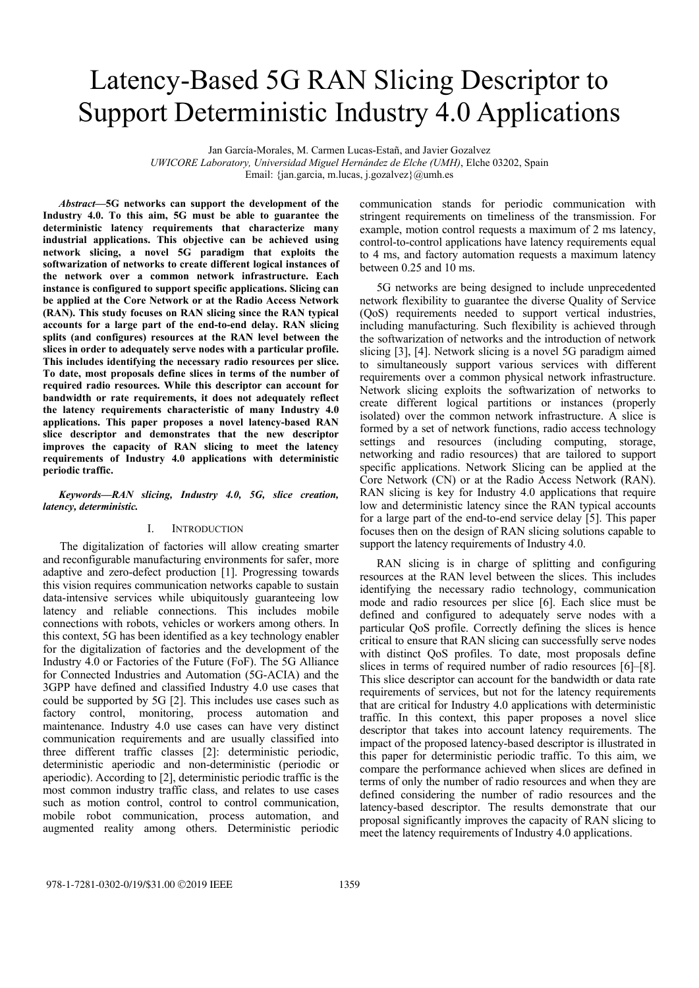# Latency-Based 5G RAN Slicing Descriptor to Support Deterministic Industry 4.0 Applications

Jan García-Morales, M. Carmen Lucas-Estañ, and Javier Gozalvez

*UWICORE Laboratory, Universidad Miguel Hernández de Elche (UMH)*, Elche 03202, Spain

Email: {jan.garcia, m.lucas, j.gozalvez}@umh.es

*Abstract***—5G networks can support the development of the Industry 4.0. To this aim, 5G must be able to guarantee the deterministic latency requirements that characterize many industrial applications. This objective can be achieved using network slicing, a novel 5G paradigm that exploits the softwarization of networks to create different logical instances of the network over a common network infrastructure. Each instance is configured to support specific applications. Slicing can be applied at the Core Network or at the Radio Access Network (RAN). This study focuses on RAN slicing since the RAN typical accounts for a large part of the end-to-end delay. RAN slicing splits (and configures) resources at the RAN level between the slices in order to adequately serve nodes with a particular profile. This includes identifying the necessary radio resources per slice. To date, most proposals define slices in terms of the number of required radio resources. While this descriptor can account for bandwidth or rate requirements, it does not adequately reflect the latency requirements characteristic of many Industry 4.0 applications. This paper proposes a novel latency-based RAN slice descriptor and demonstrates that the new descriptor improves the capacity of RAN slicing to meet the latency requirements of Industry 4.0 applications with deterministic periodic traffic.**

*Keywords—RAN slicing, Industry 4.0, 5G, slice creation, latency, deterministic.* 

### I. INTRODUCTION

The digitalization of factories will allow creating smarter and reconfigurable manufacturing environments for safer, more adaptive and zero-defect production [1]. Progressing towards this vision requires communication networks capable to sustain data-intensive services while ubiquitously guaranteeing low latency and reliable connections. This includes mobile connections with robots, vehicles or workers among others. In this context, 5G has been identified as a key technology enabler for the digitalization of factories and the development of the Industry 4.0 or Factories of the Future (FoF). The 5G Alliance for Connected Industries and Automation (5G-ACIA) and the 3GPP have defined and classified Industry 4.0 use cases that could be supported by 5G [2]. This includes use cases such as factory control, monitoring, process automation and maintenance. Industry 4.0 use cases can have very distinct communication requirements and are usually classified into three different traffic classes [2]: deterministic periodic, deterministic aperiodic and non-deterministic (periodic or aperiodic). According to [2], deterministic periodic traffic is the most common industry traffic class, and relates to use cases such as motion control, control to control communication, mobile robot communication, process automation, and augmented reality among others. Deterministic periodic

communication stands for periodic communication with stringent requirements on timeliness of the transmission. For example, motion control requests a maximum of 2 ms latency, control-to-control applications have latency requirements equal to 4 ms, and factory automation requests a maximum latency between 0.25 and 10 ms.

5G networks are being designed to include unprecedented network flexibility to guarantee the diverse Quality of Service (QoS) requirements needed to support vertical industries, including manufacturing. Such flexibility is achieved through the softwarization of networks and the introduction of network slicing [3], [4]. Network slicing is a novel 5G paradigm aimed to simultaneously support various services with different requirements over a common physical network infrastructure. Network slicing exploits the softwarization of networks to create different logical partitions or instances (properly isolated) over the common network infrastructure. A slice is formed by a set of network functions, radio access technology settings and resources (including computing, storage, networking and radio resources) that are tailored to support specific applications. Network Slicing can be applied at the Core Network (CN) or at the Radio Access Network (RAN). RAN slicing is key for Industry 4.0 applications that require low and deterministic latency since the RAN typical accounts for a large part of the end-to-end service delay [5]. This paper focuses then on the design of RAN slicing solutions capable to support the latency requirements of Industry 4.0.

RAN slicing is in charge of splitting and configuring resources at the RAN level between the slices. This includes identifying the necessary radio technology, communication mode and radio resources per slice [6]. Each slice must be defined and configured to adequately serve nodes with a particular QoS profile. Correctly defining the slices is hence critical to ensure that RAN slicing can successfully serve nodes with distinct QoS profiles. To date, most proposals define slices in terms of required number of radio resources [6]–[8]. This slice descriptor can account for the bandwidth or data rate requirements of services, but not for the latency requirements that are critical for Industry 4.0 applications with deterministic traffic. In this context, this paper proposes a novel slice descriptor that takes into account latency requirements. The impact of the proposed latency-based descriptor is illustrated in this paper for deterministic periodic traffic. To this aim, we compare the performance achieved when slices are defined in terms of only the number of radio resources and when they are defined considering the number of radio resources and the latency-based descriptor. The results demonstrate that our proposal significantly improves the capacity of RAN slicing to meet the latency requirements of Industry 4.0 applications.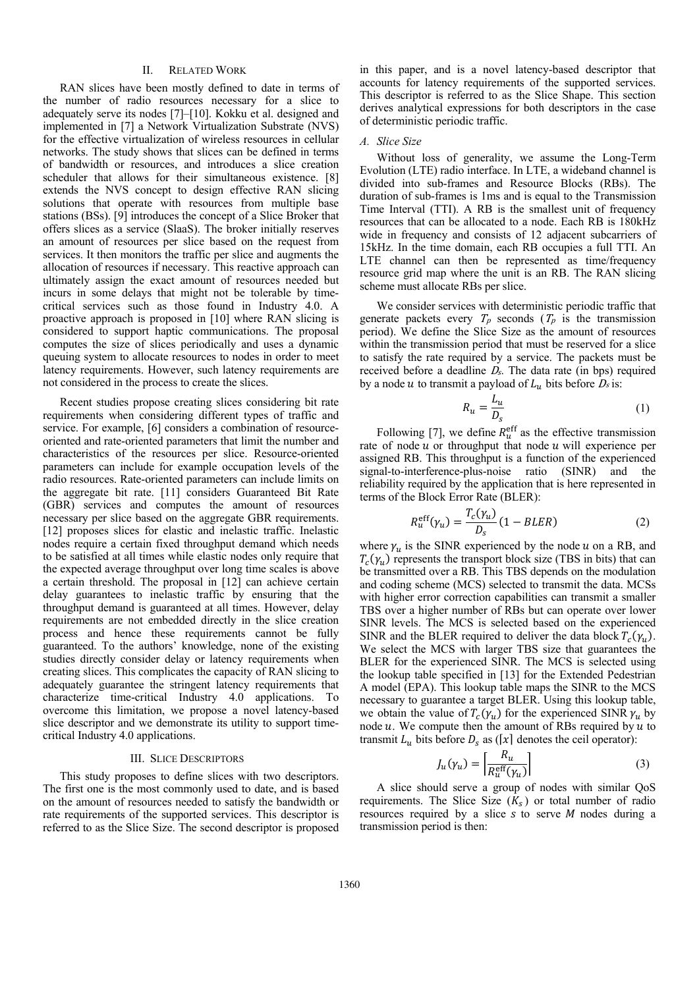# II. RELATED WORK

RAN slices have been mostly defined to date in terms of the number of radio resources necessary for a slice to adequately serve its nodes [7]–[10]. Kokku et al. designed and implemented in [7] a Network Virtualization Substrate (NVS) for the effective virtualization of wireless resources in cellular networks. The study shows that slices can be defined in terms of bandwidth or resources, and introduces a slice creation scheduler that allows for their simultaneous existence. [8] extends the NVS concept to design effective RAN slicing solutions that operate with resources from multiple base stations (BSs). [9] introduces the concept of a Slice Broker that offers slices as a service (SlaaS). The broker initially reserves an amount of resources per slice based on the request from services. It then monitors the traffic per slice and augments the allocation of resources if necessary. This reactive approach can ultimately assign the exact amount of resources needed but incurs in some delays that might not be tolerable by timecritical services such as those found in Industry 4.0. A proactive approach is proposed in [10] where RAN slicing is considered to support haptic communications. The proposal computes the size of slices periodically and uses a dynamic queuing system to allocate resources to nodes in order to meet latency requirements. However, such latency requirements are not considered in the process to create the slices.

Recent studies propose creating slices considering bit rate requirements when considering different types of traffic and service. For example, [6] considers a combination of resourceoriented and rate-oriented parameters that limit the number and characteristics of the resources per slice. Resource-oriented parameters can include for example occupation levels of the radio resources. Rate-oriented parameters can include limits on the aggregate bit rate. [11] considers Guaranteed Bit Rate (GBR) services and computes the amount of resources necessary per slice based on the aggregate GBR requirements. [12] proposes slices for elastic and inelastic traffic. Inelastic nodes require a certain fixed throughput demand which needs to be satisfied at all times while elastic nodes only require that the expected average throughput over long time scales is above a certain threshold. The proposal in [12] can achieve certain delay guarantees to inelastic traffic by ensuring that the throughput demand is guaranteed at all times. However, delay requirements are not embedded directly in the slice creation process and hence these requirements cannot be fully guaranteed. To the authors' knowledge, none of the existing studies directly consider delay or latency requirements when creating slices. This complicates the capacity of RAN slicing to adequately guarantee the stringent latency requirements that characterize time-critical Industry 4.0 applications. To overcome this limitation, we propose a novel latency-based slice descriptor and we demonstrate its utility to support timecritical Industry 4.0 applications.

### III. SLICE DESCRIPTORS

This study proposes to define slices with two descriptors. The first one is the most commonly used to date, and is based on the amount of resources needed to satisfy the bandwidth or rate requirements of the supported services. This descriptor is referred to as the Slice Size. The second descriptor is proposed in this paper, and is a novel latency-based descriptor that accounts for latency requirements of the supported services. This descriptor is referred to as the Slice Shape. This section derives analytical expressions for both descriptors in the case of deterministic periodic traffic.

# *A. Slice Size*

Without loss of generality, we assume the Long-Term Evolution (LTE) radio interface. In LTE, a wideband channel is divided into sub-frames and Resource Blocks (RBs). The duration of sub-frames is 1ms and is equal to the Transmission Time Interval (TTI). A RB is the smallest unit of frequency resources that can be allocated to a node. Each RB is 180kHz wide in frequency and consists of 12 adjacent subcarriers of 15kHz. In the time domain, each RB occupies a full TTI. An LTE channel can then be represented as time/frequency resource grid map where the unit is an RB. The RAN slicing scheme must allocate RBs per slice.

We consider services with deterministic periodic traffic that generate packets every  $T_p$  seconds  $(T_p)$  is the transmission period). We define the Slice Size as the amount of resources within the transmission period that must be reserved for a slice to satisfy the rate required by a service. The packets must be received before a deadline  $D<sub>s</sub>$ . The data rate (in bps) required by a node u to transmit a payload of  $L_u$  bits before  $D_s$  is:

$$
R_u = \frac{L_u}{D_s} \tag{1}
$$

Following [7], we define  $R_u^{\text{eff}}$  as the effective transmission rate of node  $u$  or throughput that node  $u$  will experience per assigned RB. This throughput is a function of the experienced signal-to-interference-plus-noise ratio (SINR) and the reliability required by the application that is here represented in terms of the Block Error Rate (BLER):

$$
R_u^{\text{eff}}(\gamma_u) = \frac{T_c(\gamma_u)}{D_s} (1 - BLER)
$$
 (2)

where  $\gamma_u$  is the SINR experienced by the node u on a RB, and  $T_c(\gamma_u)$  represents the transport block size (TBS in bits) that can be transmitted over a RB. This TBS depends on the modulation and coding scheme (MCS) selected to transmit the data. MCSs with higher error correction capabilities can transmit a smaller TBS over a higher number of RBs but can operate over lower SINR levels. The MCS is selected based on the experienced SINR and the BLER required to deliver the data block  $T_c(\gamma_u)$ . We select the MCS with larger TBS size that guarantees the BLER for the experienced SINR. The MCS is selected using the lookup table specified in [13] for the Extended Pedestrian A model (EPA). This lookup table maps the SINR to the MCS necessary to guarantee a target BLER. Using this lookup table, we obtain the value of  $T_c(\gamma_u)$  for the experienced SINR  $\gamma_u$  by node  $u$ . We compute then the amount of RBs required by  $u$  to transmit  $L_u$  bits before  $D_s$  as ([x] denotes the ceil operator):

$$
J_u(\gamma_u) = \left| \frac{R_u}{R_u^{\text{eff}}(\gamma_u)} \right| \tag{3}
$$

A slice should serve a group of nodes with similar QoS requirements. The Slice Size  $(K<sub>s</sub>)$  or total number of radio resources required by a slice  $s$  to serve  $M$  nodes during a transmission period is then: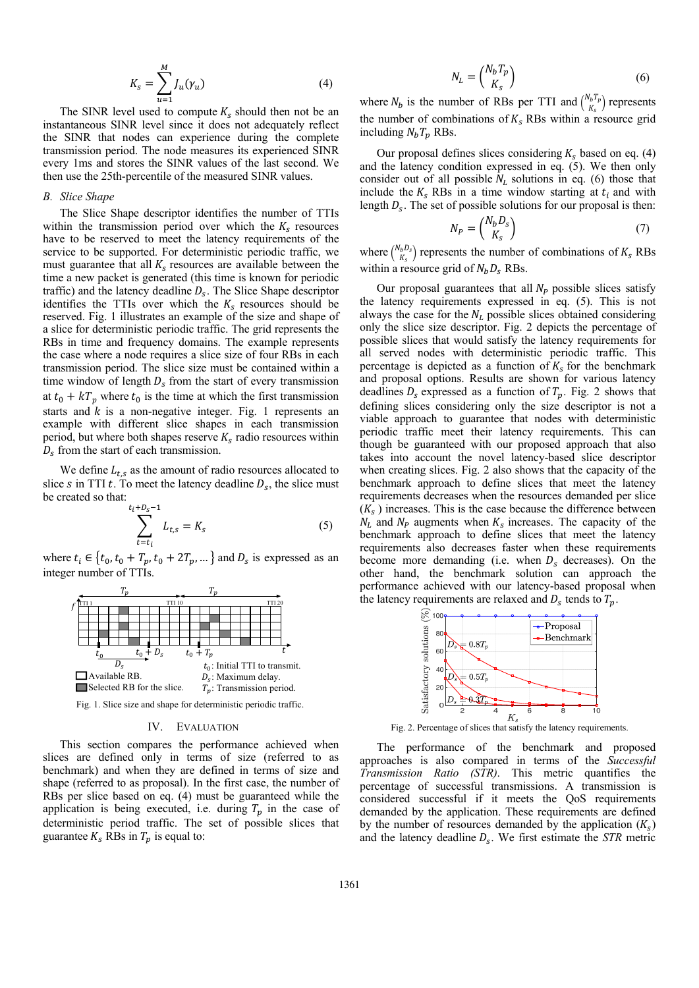$$
K_s = \sum_{u=1}^{M} J_u(\gamma_u)
$$
 (4)

The SINR level used to compute  $K_s$  should then not be an instantaneous SINR level since it does not adequately reflect the SINR that nodes can experience during the complete transmission period. The node measures its experienced SINR every 1ms and stores the SINR values of the last second. We then use the 25th-percentile of the measured SINR values.

## *B. Slice Shape*

The Slice Shape descriptor identifies the number of TTIs within the transmission period over which the  $K_s$  resources have to be reserved to meet the latency requirements of the service to be supported. For deterministic periodic traffic, we must guarantee that all  $K_s$  resources are available between the time a new packet is generated (this time is known for periodic traffic) and the latency deadline  $D_s$ . The Slice Shape descriptor identifies the TTIs over which the  $K_s$  resources should be reserved. Fig. 1 illustrates an example of the size and shape of a slice for deterministic periodic traffic. The grid represents the RBs in time and frequency domains. The example represents the case where a node requires a slice size of four RBs in each transmission period. The slice size must be contained within a time window of length  $D_s$  from the start of every transmission at  $t_0 + kT_n$  where  $t_0$  is the time at which the first transmission starts and  $k$  is a non-negative integer. Fig. 1 represents an example with different slice shapes in each transmission period, but where both shapes reserve  $K_s$  radio resources within  $D_s$  from the start of each transmission.

We define  $L_{ts}$  as the amount of radio resources allocated to slice s in TTI t. To meet the latency deadline  $D_s$ , the slice must be created so that:  $t_i+D_{\sigma}$  $-1$ 

$$
\sum_{t=t_i}^{+t s_5 - 1} L_{t,s} = K_s
$$
 (5)

where  $t_i \in \{t_0, t_0 + T_p, t_0 + 2T_p, \dots\}$  and  $D_s$  is expressed as an integer number of TTIs.



Fig. 1. Slice size and shape for deterministic periodic traffic.

## IV. EVALUATION

This section compares the performance achieved when slices are defined only in terms of size (referred to as benchmark) and when they are defined in terms of size and shape (referred to as proposal). In the first case, the number of RBs per slice based on eq. (4) must be guaranteed while the application is being executed, i.e. during  $T_p$  in the case of deterministic period traffic. The set of possible slices that guarantee  $K_s$  RBs in  $T_p$  is equal to:

$$
N_L = \binom{N_b T_p}{K_s} \tag{6}
$$

where  $N_b$  is the number of RBs per TTI and  $\binom{N_b T_p}{K}$  $\binom{V_b I_p}{K_s}$  represents the number of combinations of  $K_s$  RBs within a resource grid including  $N_bT_p$  RBs.

Our proposal defines slices considering  $K_s$  based on eq. (4) and the latency condition expressed in eq. (5). We then only consider out of all possible  $N_L$  solutions in eq. (6) those that include the  $K_s$  RBs in a time window starting at  $t_i$  and with length  $D_s$ . The set of possible solutions for our proposal is then:

$$
N_P = \binom{N_b D_s}{K_s} \tag{7}
$$

where  $\binom{N_b D_s}{V}$  $\binom{b_1b_2}{K_s}$  represents the number of combinations of  $K_s$  RBs within a resource grid of  $N_b D_s$  RBs.

Our proposal guarantees that all  $N_P$  possible slices satisfy the latency requirements expressed in eq. (5). This is not always the case for the  $N_L$  possible slices obtained considering only the slice size descriptor. Fig. 2 depicts the percentage of possible slices that would satisfy the latency requirements for all served nodes with deterministic periodic traffic. This percentage is depicted as a function of  $K_s$  for the benchmark and proposal options. Results are shown for various latency deadlines  $D_s$  expressed as a function of  $T_p$ . Fig. 2 shows that defining slices considering only the size descriptor is not a viable approach to guarantee that nodes with deterministic periodic traffic meet their latency requirements. This can though be guaranteed with our proposed approach that also takes into account the novel latency-based slice descriptor when creating slices. Fig. 2 also shows that the capacity of the benchmark approach to define slices that meet the latency requirements decreases when the resources demanded per slice  $(K<sub>s</sub>)$  increases. This is the case because the difference between  $N_L$  and  $N_P$  augments when  $K_S$  increases. The capacity of the benchmark approach to define slices that meet the latency requirements also decreases faster when these requirements become more demanding (i.e. when  $D_s$  decreases). On the other hand, the benchmark solution can approach the performance achieved with our latency-based proposal when the latency requirements are relaxed and  $D_s$  tends to  $T_p$ .



Fig. 2. Percentage of slices that satisfy the latency requirements.

The performance of the benchmark and proposed approaches is also compared in terms of the *Successful Transmission Ratio (STR)*. This metric quantifies the percentage of successful transmissions. A transmission is considered successful if it meets the QoS requirements demanded by the application. These requirements are defined by the number of resources demanded by the application  $(K_s)$ and the latency deadline  $D_s$ . We first estimate the *STR* metric